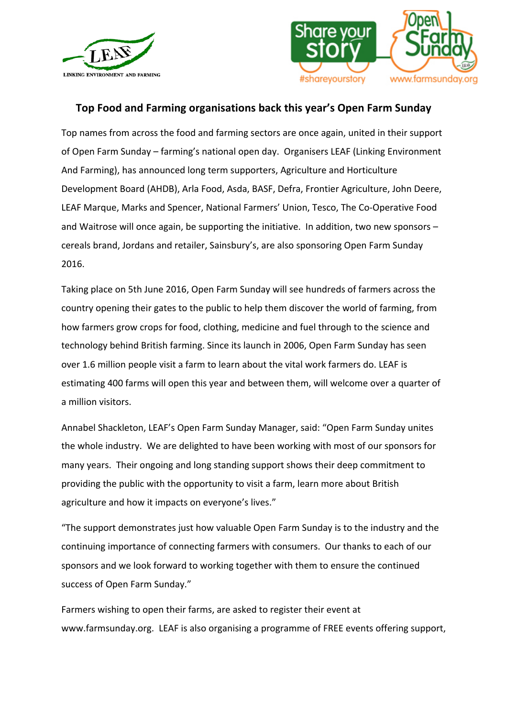



## **Top Food and Farming organisations back this year's Open Farm Sunday**

Top names from across the food and farming sectors are once again, united in their support of Open Farm Sunday – farming's national open day. Organisers LEAF (Linking Environment And Farming), has announced long term supporters, Agriculture and Horticulture Development Board (AHDB), Arla Food, Asda, BASF, Defra, Frontier Agriculture, John Deere, LEAF Marque, Marks and Spencer, National Farmers' Union, Tesco, The Co-Operative Food and Waitrose will once again, be supporting the initiative. In addition, two new sponsors  $$ cereals brand, Jordans and retailer, Sainsbury's, are also sponsoring Open Farm Sunday 2016.

Taking place on 5th June 2016, Open Farm Sunday will see hundreds of farmers across the country opening their gates to the public to help them discover the world of farming, from how farmers grow crops for food, clothing, medicine and fuel through to the science and technology behind British farming. Since its launch in 2006, Open Farm Sunday has seen over 1.6 million people visit a farm to learn about the vital work farmers do. LEAF is estimating 400 farms will open this year and between them, will welcome over a quarter of a million visitors.

Annabel Shackleton, LEAF's Open Farm Sunday Manager, said: "Open Farm Sunday unites the whole industry. We are delighted to have been working with most of our sponsors for many years. Their ongoing and long standing support shows their deep commitment to providing the public with the opportunity to visit a farm, learn more about British agriculture and how it impacts on everyone's lives."

"The support demonstrates just how valuable Open Farm Sunday is to the industry and the continuing importance of connecting farmers with consumers. Our thanks to each of our sponsors and we look forward to working together with them to ensure the continued success of Open Farm Sunday."

Farmers wishing to open their farms, are asked to register their event at www.farmsunday.org. LEAF is also organising a programme of FREE events offering support,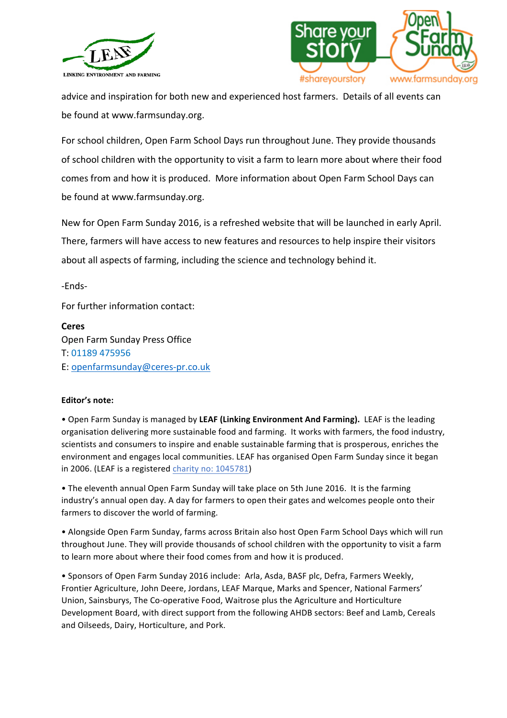



advice and inspiration for both new and experienced host farmers. Details of all events can be found at www.farmsunday.org.

For school children, Open Farm School Days run throughout June. They provide thousands of school children with the opportunity to visit a farm to learn more about where their food comes from and how it is produced. More information about Open Farm School Days can be found at www.farmsunday.org.

New for Open Farm Sunday 2016, is a refreshed website that will be launched in early April. There, farmers will have access to new features and resources to help inspire their visitors about all aspects of farming, including the science and technology behind it.

-Ends-

For further information contact:

**Ceres**  Open Farm Sunday Press Office T: 01189 475956 E: openfarmsunday@ceres-pr.co.uk

## **Editor's note:**

• Open Farm Sunday is managed by LEAF (Linking Environment And Farming). LEAF is the leading organisation delivering more sustainable food and farming. It works with farmers, the food industry, scientists and consumers to inspire and enable sustainable farming that is prosperous, enriches the environment and engages local communities. LEAF has organised Open Farm Sunday since it began in 2006. (LEAF is a registered charity no: 1045781)

• The eleventh annual Open Farm Sunday will take place on 5th June 2016. It is the farming industry's annual open day. A day for farmers to open their gates and welcomes people onto their farmers to discover the world of farming.

• Alongside Open Farm Sunday, farms across Britain also host Open Farm School Days which will run throughout June. They will provide thousands of school children with the opportunity to visit a farm to learn more about where their food comes from and how it is produced.

• Sponsors of Open Farm Sunday 2016 include: Arla, Asda, BASF plc, Defra, Farmers Weekly, Frontier Agriculture, John Deere, Jordans, LEAF Marque, Marks and Spencer, National Farmers' Union, Sainsburys, The Co-operative Food, Waitrose plus the Agriculture and Horticulture Development Board, with direct support from the following AHDB sectors: Beef and Lamb, Cereals and Oilseeds, Dairy, Horticulture, and Pork.